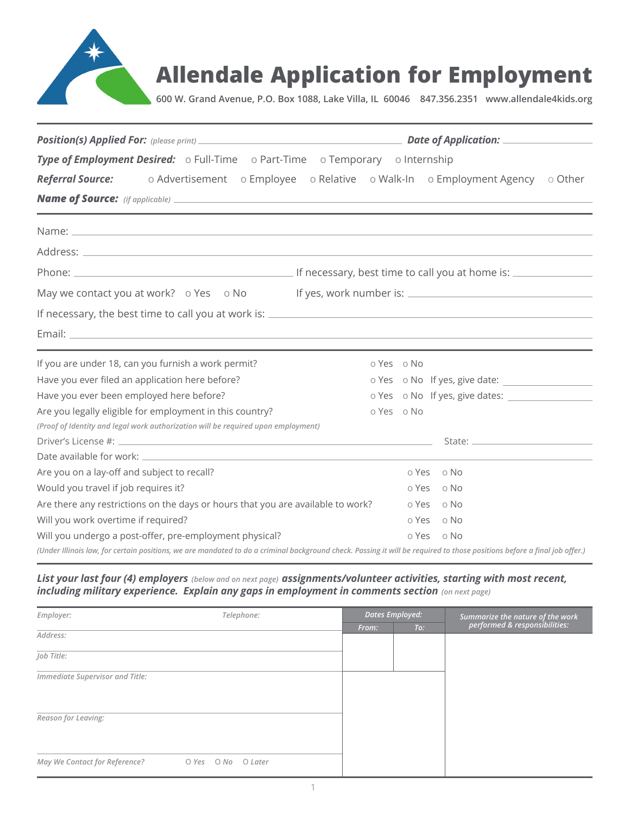

**600 W. Grand Avenue, P.O. Box 1088, Lake Villa, IL 60046 847.356.2351 www.allendale4kids.org**

| Type of Employment Desired: o Full-Time o Part-Time o Temporary o Internship                                                                                                                                                        |            |                                |  |  |
|-------------------------------------------------------------------------------------------------------------------------------------------------------------------------------------------------------------------------------------|------------|--------------------------------|--|--|
| Referral Source: o Advertisement o Employee o Relative o Walk-In o Employment Agency o Other                                                                                                                                        |            |                                |  |  |
|                                                                                                                                                                                                                                     |            |                                |  |  |
|                                                                                                                                                                                                                                     |            |                                |  |  |
|                                                                                                                                                                                                                                     |            |                                |  |  |
| Address: <u>Address:</u> Address: Address: Address: Address: Address: Address: Address: Address: Address: Address: Address: Address: Address: Address: Address: Address: Address: Address: Address: Address: Address: Address: Addr |            |                                |  |  |
|                                                                                                                                                                                                                                     |            |                                |  |  |
| May we contact you at work? o Yes o No If yes, work number is: __________________                                                                                                                                                   |            |                                |  |  |
|                                                                                                                                                                                                                                     |            |                                |  |  |
|                                                                                                                                                                                                                                     |            |                                |  |  |
| If you are under 18, can you furnish a work permit?                                                                                                                                                                                 | o Yes o No |                                |  |  |
| Have you ever filed an application here before?                                                                                                                                                                                     |            | o Yes o No If yes, give date:  |  |  |
| Have you ever been employed here before?                                                                                                                                                                                            |            | o Yes o No If yes, give dates: |  |  |
| Are you legally eligible for employment in this country?                                                                                                                                                                            | o Yes o No |                                |  |  |
| (Proof of Identity and legal work authorization will be required upon employment)                                                                                                                                                   |            |                                |  |  |
|                                                                                                                                                                                                                                     |            |                                |  |  |
|                                                                                                                                                                                                                                     |            |                                |  |  |
| Are you on a lay-off and subject to recall?                                                                                                                                                                                         |            | o Yes o No                     |  |  |
| Would you travel if job requires it?                                                                                                                                                                                                | o Yes      | o No                           |  |  |
| Are there any restrictions on the days or hours that you are available to work?                                                                                                                                                     |            | o Yes o No                     |  |  |
| Will you work overtime if required?                                                                                                                                                                                                 | o Yes      | o No                           |  |  |
| Will you undergo a post-offer, pre-employment physical?                                                                                                                                                                             | o Yes      | o No                           |  |  |
| (Under Illinois law, for certain positions, we are mandated to do a criminal background check. Passing it will be required to those positions before a final job offer.)                                                            |            |                                |  |  |

# *List your last four (4) employers (below and on next page) assignments/volunteer activities, starting with most recent, including military experience. Explain any gaps in employment in comments section (on next page)*

| Employer:                       | Telephone:               | <b>Dates Employed:</b> |     | Summarize the nature of the work<br>performed & responsibilities: |  |
|---------------------------------|--------------------------|------------------------|-----|-------------------------------------------------------------------|--|
|                                 |                          | From:                  | To: |                                                                   |  |
| Address:                        |                          |                        |     |                                                                   |  |
| Job Title:                      |                          |                        |     |                                                                   |  |
| Immediate Supervisor and Title: |                          |                        |     |                                                                   |  |
|                                 |                          |                        |     |                                                                   |  |
| Reason for Leaving:             |                          |                        |     |                                                                   |  |
|                                 |                          |                        |     |                                                                   |  |
| May We Contact for Reference?   | O Later<br>O Yes<br>O No |                        |     |                                                                   |  |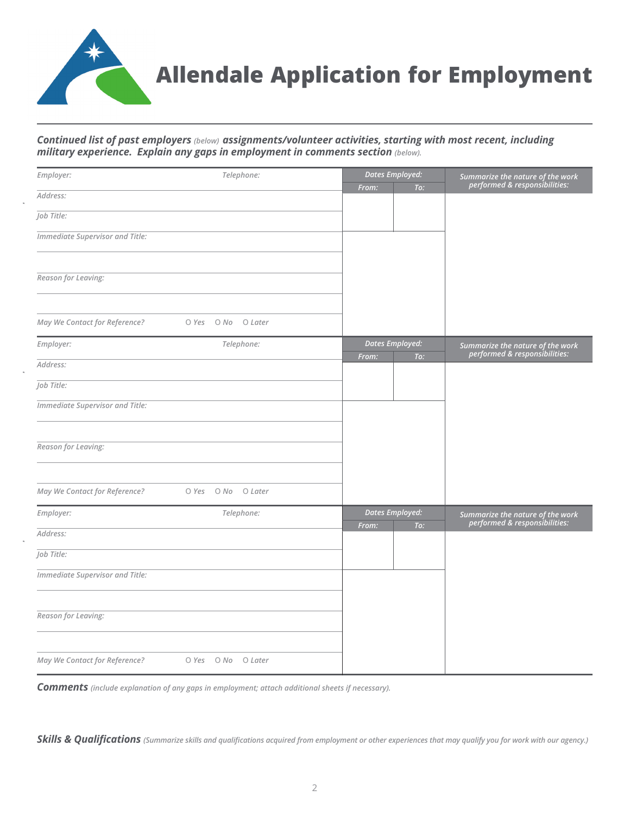

# *Continued list of past employers (below) assignments/volunteer activities, starting with most recent, including military experience. Explain any gaps in employment in comments section (below).*

| Employer:                       | Telephone:               |       | <b>Dates Employed:</b>        | Summarize the nature of the work                                  |
|---------------------------------|--------------------------|-------|-------------------------------|-------------------------------------------------------------------|
| Address:                        |                          | From: | To:                           | performed & responsibilities:                                     |
|                                 |                          |       |                               |                                                                   |
| Job Title:                      |                          |       |                               |                                                                   |
| Immediate Supervisor and Title: |                          |       |                               |                                                                   |
| Reason for Leaving:             |                          |       |                               |                                                                   |
|                                 |                          |       |                               |                                                                   |
| May We Contact for Reference?   | O Yes O No O Later       |       |                               |                                                                   |
| Employer:                       | Telephone:               | From: | <b>Dates Employed:</b><br>To: | Summarize the nature of the work<br>performed & responsibilities: |
| Address:                        |                          |       |                               |                                                                   |
| Job Title:                      |                          |       |                               |                                                                   |
| Immediate Supervisor and Title: |                          |       |                               |                                                                   |
|                                 |                          |       |                               |                                                                   |
| Reason for Leaving:             |                          |       |                               |                                                                   |
| May We Contact for Reference?   | O No<br>O Yes<br>O Later |       |                               |                                                                   |
| Employer:                       | Telephone:               | From: | <b>Dates Employed:</b><br>To: | Summarize the nature of the work<br>performed & responsibilities: |
| Address:                        |                          |       |                               |                                                                   |
| Job Title:                      |                          |       |                               |                                                                   |
| Immediate Supervisor and Title: |                          |       |                               |                                                                   |
|                                 |                          |       |                               |                                                                   |
| Reason for Leaving:             |                          |       |                               |                                                                   |
| May We Contact for Reference?   | O Yes O No O Later       |       |                               |                                                                   |

*Comments (include explanation of any gaps in employment; attach additional sheets if necessary).*

*Skills & Qualifications (Summarize skills and qualifications acquired from employment or other experiences that may qualify you for work with our agency.)*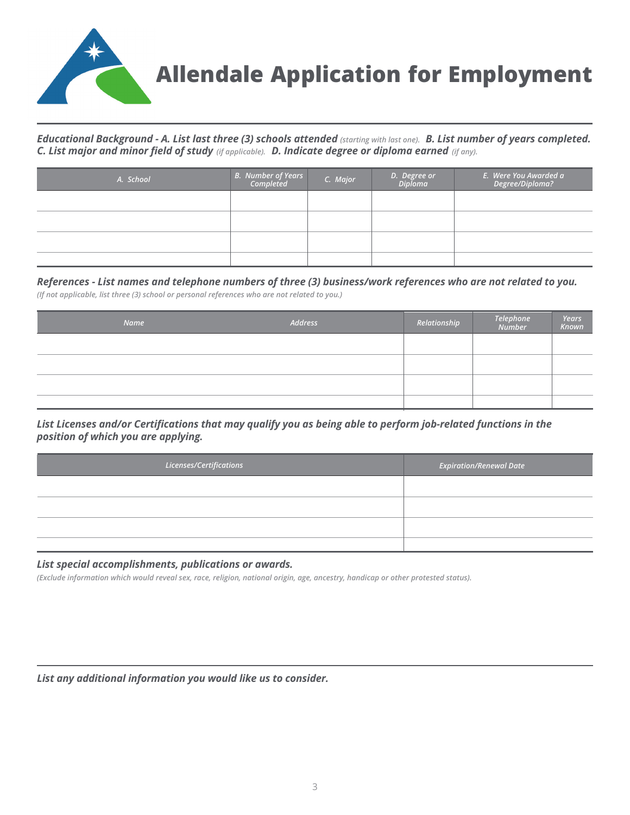

*Educational Background - A. List last three (3) schools attended (starting with last one).* **<b>B. List number of years completed.** *C. List major and minor field of study (if applicable). D. Indicate degree or diploma earned (if any).*

| A. School | B. Number of Years<br>Completed | C. Major | D. Degree or<br>Diploma | E.  Were You Awarded a<br>?   Degree/Diploma |
|-----------|---------------------------------|----------|-------------------------|----------------------------------------------|
|           |                                 |          |                         |                                              |
|           |                                 |          |                         |                                              |
|           |                                 |          |                         |                                              |
|           |                                 |          |                         |                                              |

*References - List names and telephone numbers of three (3) business/work references who are not related to you.*

*(If not applicable, list three (3) school or personal references who are not related to you.)* 

| Name | Address | Relationship | Telephone<br>Number | Years<br>Known |
|------|---------|--------------|---------------------|----------------|
|      |         |              |                     |                |
|      |         |              |                     |                |
|      |         |              |                     |                |
|      |         |              |                     |                |

*List Licenses and/or Certifications that may qualify you as being able to perform job-related functions in the position of which you are applying.*

| Licenses/Certifications | $E$ xpiration/Renewal Date |
|-------------------------|----------------------------|
|                         |                            |
|                         |                            |
|                         |                            |
|                         |                            |

#### *List special accomplishments, publications or awards.*

*(Exclude information which would reveal sex, race, religion, national origin, age, ancestry, handicap or other protested status).*

*List any additional information you would like us to consider.*